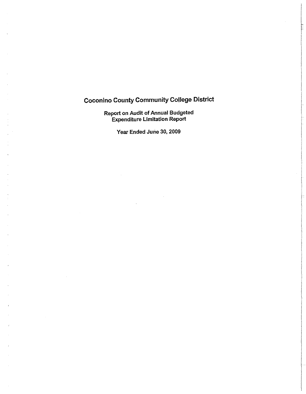# Coconino County Community College District

Report on Audit of Annual Budgeted Expenditure Limitation Report

Year Ended June 30, 2009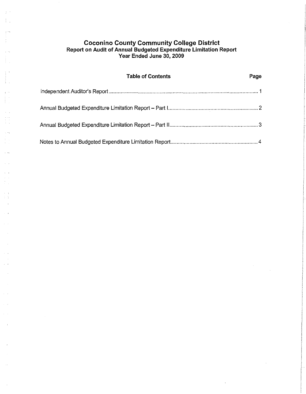## **Coconino County Community College District Report on Audit of Annual Budgeted Expenditure Limitation Report Year Ended June 30, 2009**

Ť.

 $\tau$   $\sim$ 

 $\chi$  .  $\sqrt{2}$  $\omega_{\rm{eff}}$  $\frac{1}{2}$  ,  $\frac{1}{2}$ 

 $\begin{array}{c} 1 \\ 1 \end{array}$  $\sim$  $\sim$   $^{-1}$ 

 $\alpha$  .

 $\mathcal{L}_{\mathcal{A}}$  $\tau$  .

 $\hat{\pi}$  ) is

 $\bar{\beta}$ 

 $\tau=1$ 

 $\tau^{\pm}$  a  $\alpha$  ).

| <b>Table of Contents</b> | Page |
|--------------------------|------|
|                          |      |
|                          |      |
|                          |      |
|                          |      |

 $\bar{\alpha}$ 

 $\mathcal{L}$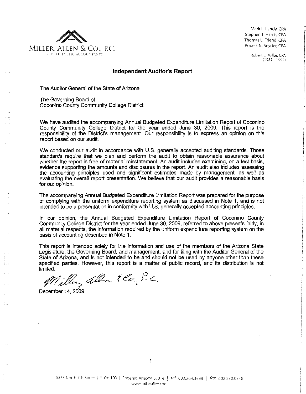

Mark L. Landy, CPA **Stephen T. Harris, CPA** Thomas L. Friend, CPA Robert N. Snyder, CPA

> Robert L. Miller, CPA (1931-1992)

#### **Independent Auditor's Report**

The Auditor General of the State of Arizona

The Governing Board of Coconino County Community College District

We have audited the accompanying Annual BUdgeted Expenditure Limitation Report of Coconino County Community College District for the year ended June 30, 2009. This report is the responsibility of the District's management. Our responsibility is to express an opinion on this report based on our audit.

We conducted our audit in accordance with U.S. generally accepted auditing standards. Those standards require that we plan and perform the audit to obtain reasonable assurance about whether the report is free of material misstatement. An audit includes examining, on a test basis, evidence supporting the amounts and disclosures in the report. An audit also includes assessing the accounting principles used and significant estimates made by management, as well as evaluating the overall report presentation. We believe that our audit provides a reasonable basis for our opinion.

The accompanying Annual Budgeted Expenditure Limitation Report was prepared for the purpose of complying with the uniform expenditure reporting system as discussed in Note 1, and is not intended to be a presentation in conformity with U.S. generally accepted accounting principles.

In our opinion, the Annual Budgeted Expenditure Limitation Report of Coconino County Community College District for the year ended June 30, 2009, referred to above presents fairly, in all material respects, the information required by the uniform expenditure reporting system on the basis of accounting described in Note 1.

This report is intended solely for the information and use of the members of the Arizona State Legislature, the Governing Board, and management, and for filing with the Auditor General of the State of Arizona, and is not intended to be and should not be used by anyone other than these specified parties. However, this report is a matter of public record, and its distribution is not

limited.  $m$ , allen  $\tilde{\mathcal{H}}$  f.c.

December 14, 2009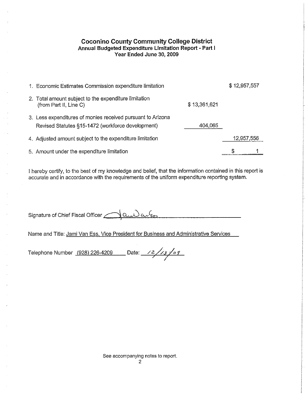## **Coconino County Community College District Annual BUdgeted Expenditure Limitation Report· Part I Year Ended June 30, 2009**

| 1. Economic Estimates Commission expenditure limitation                                                          |              | \$12,957,557 |            |
|------------------------------------------------------------------------------------------------------------------|--------------|--------------|------------|
| 2. Total amount subject to the expenditure limitation<br>(from Part II, Line C)                                  | \$13,361,621 |              |            |
| 3. Less expenditures of monies received pursuant to Arizona<br>Revised Statutes §15-1472 (workforce development) | 404,065      |              |            |
| 4. Adjusted amount subject to the expenditure limitation                                                         |              |              | 12,957,556 |
| 5. Amount under the expenditure limitation                                                                       |              |              |            |

I hereby certify, to the best of my knowledge and belief, that the information contained in this report is accurate and in accordance with the requirements of the uniform expenditure reporting system.

Signature of Chief Fiscal Officer  $\bigcap_{\alpha\downarrow\lambda}\alpha_\mu\ell_m$ 

Name and Titie: Jami Van Ess, Vice President for Business and Administrative Services

Telephone Number (928) 226-4209 Date: /2/13/09

See accompanying notes to report. 2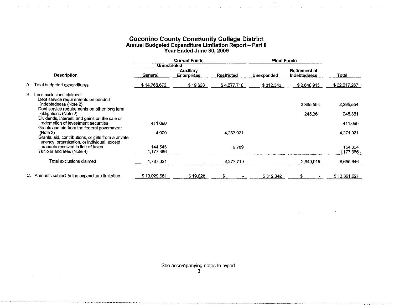#### **Coconino County Community College District Annual Budgeted Expenditure Limitation Report - Part II Year Ended June** 30, **2009**

 $\sim 10$ 

 $\mathcal{L}$ 

 $\mathcal{L}$ 

|    | <b>Current Funds</b>                                                                                           |                      | <b>Plant Funds</b>                     |                   |            |                               |                      |
|----|----------------------------------------------------------------------------------------------------------------|----------------------|----------------------------------------|-------------------|------------|-------------------------------|----------------------|
|    |                                                                                                                | Unrestricted         |                                        |                   |            |                               |                      |
|    | <b>Description</b>                                                                                             | General              | <b>Auxiliary</b><br><b>Enterprises</b> | <b>Restricted</b> | Unexpended | Retirement of<br>Indebtedness | Total                |
| А. | Total budgeted expenditures                                                                                    | \$14,766,672         | \$19,628                               | \$4,277,710       | \$312,342  | \$2,640,915                   | \$22,017,267         |
| В. | Less exclusions claimed:<br>Debt service requirements on bonded                                                |                      |                                        |                   |            |                               |                      |
|    | indebtedness (Note 2)<br>Debt service requirements on other long term                                          |                      |                                        |                   |            | 2,395,554                     | 2,395,554            |
|    | obligations (Note 2)                                                                                           |                      |                                        |                   |            | 245,361                       | 245,361              |
|    | Dividends, interest, and gains on the sale or<br>redemption of investment securities                           | 411,090              |                                        |                   |            |                               | 411,090              |
|    | Grants and aid from the federal government<br>(Note 3)<br>Grants, aid, contributions, or gifts from a private  | 4,000                |                                        | 4,267,921         |            |                               | 4,271,921            |
|    | agency, organization, or individual, except<br>amounts received in lieu of taxes<br>Tuitions and fees (Note 4) | 144.545<br>1,177,386 |                                        | 9,789             |            |                               | 154,334<br>1,177,386 |
|    | Total exclusions claimed                                                                                       | 1,737,021            |                                        | 4,277,710         |            | 2,640,915                     | 8,655,646            |
|    | C. Amounts subject to the expenditure limitation                                                               | \$13,029,651         | \$19,628                               | S                 | \$312,342  |                               | \$13,361,621         |

See accompanying notes to report.

3

 $\sim 10$ 

 $\ddot{\phantom{a}}$